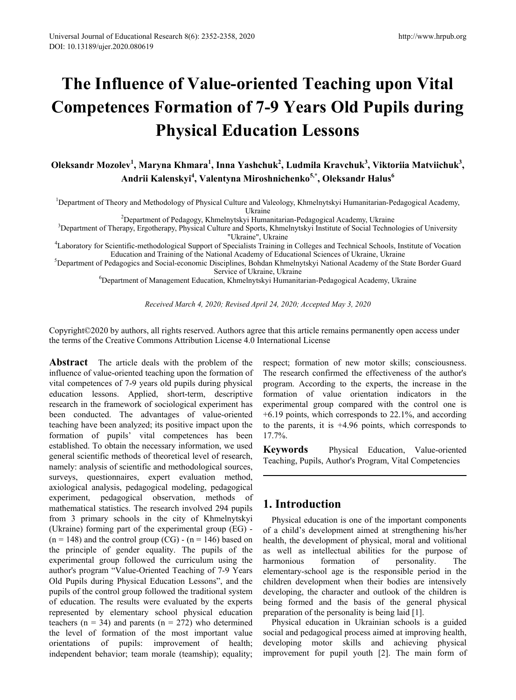# **The Influence of Value-oriented Teaching upon Vital Competences Formation of 7-9 Years Old Pupils during Physical Education Lessons**

**Oleksandr Mozolev<sup>1</sup> , Maryna Khmara<sup>1</sup> , Inna Yashchuk<sup>2</sup> , Ludmila Kravchuk<sup>3</sup> , Viktoriia Matviichuk<sup>3</sup> , Andrii Kalenskyi<sup>4</sup> , Valentyna Miroshnichenko5,\* , Oleksandr Halus<sup>6</sup>**

1 Department of Theory and Methodology of Physical Culture and Valeology, Khmelnytskyi Humanitarian-Pedagogical Academy, Ukraine<br><sup>2</sup>Department of Pedagogy, Khmelnytskyi Humanitarian-Pedagogical Academy, Ukraine

<sup>3</sup>Department of Pedagogy, Khmelnytskyi Humanitarian-Pedagogical Academy, Ukraine<br><sup>3</sup>Department of Therapy, Ergotherapy, Physical Culture and Sports, Khmelnytskyi Institute of Social Technologies of University

"Ukraine", Ukraine 4 Laboratory for Scientific-methodological Support of Specialists Training in Colleges and Technical Schools, Institute of Vocation

Education and Training of the National Academy of Educational Sciences of Ukraine, Ukraine<br><sup>5</sup>Department of Pedagogics and Social-economic Disciplines, Bohdan Khmelnytskyi National Academy of the State Border Guard

Service of Ukraine, Ukraine<br><sup>6</sup>Department of Management Education, Khmelnytskyi Humanitarian-Pedagogical Academy, Ukraine

*Received March 4, 2020; Revised April 24, 2020; Accepted May 3, 2020*

Copyright©2020 by authors, all rights reserved. Authors agree that this article remains permanently open access under the terms of the Creative Commons Attribution License 4.0 International License

**Abstract** The article deals with the problem of the influence of value-oriented teaching upon the formation of vital competences of 7-9 years old pupils during physical education lessons. Applied, short-term, descriptive research in the framework of sociological experiment has been conducted. The advantages of value-oriented teaching have been analyzed; its positive impact upon the formation of pupils' vital competences has been established. To obtain the necessary information, we used general scientific methods of theoretical level of research, namely: analysis of scientific and methodological sources, surveys, questionnaires, expert evaluation method, axiological analysis, pedagogical modeling, pedagogical experiment, pedagogical observation, methods of mathematical statistics. The research involved 294 pupils from 3 primary schools in the city of Khmelnytskyi (Ukraine) forming part of the experimental group (EG) -  $(n = 148)$  and the control group  $(CG)$  -  $(n = 146)$  based on the principle of gender equality. The pupils of the experimental group followed the curriculum using the author's program "Value-Oriented Teaching of 7-9 Years Old Pupils during Physical Education Lessons", and the pupils of the control group followed the traditional system of education. The results were evaluated by the experts represented by elementary school physical education teachers ( $n = 34$ ) and parents ( $n = 272$ ) who determined the level of formation of the most important value orientations of pupils: improvement of health; independent behavior; team morale (teamship); equality;

respect; formation of new motor skills; consciousness. The research confirmed the effectiveness of the author's program. According to the experts, the increase in the formation of value orientation indicators in the experimental group compared with the control one is +6.19 points, which corresponds to 22.1%, and according to the parents, it is +4.96 points, which corresponds to 17.7%.

**Keywords** Physical Education, Value-oriented Teaching, Pupils, Author's Program, Vital Competencies

# **1. Introduction**

Physical education is one of the important components of a child's development aimed at strengthening his/her health, the development of physical, moral and volitional as well as intellectual abilities for the purpose of harmonious formation of personality. The harmonious formation of personality. The elementary-school age is the responsible period in the children development when their bodies are intensively developing, the character and outlook of the children is being formed and the basis of the general physical preparation of the personality is being laid [1].

Physical education in Ukrainian schools is a guided social and pedagogical process aimed at improving health, developing motor skills and achieving physical improvement for pupil youth [2]. The main form of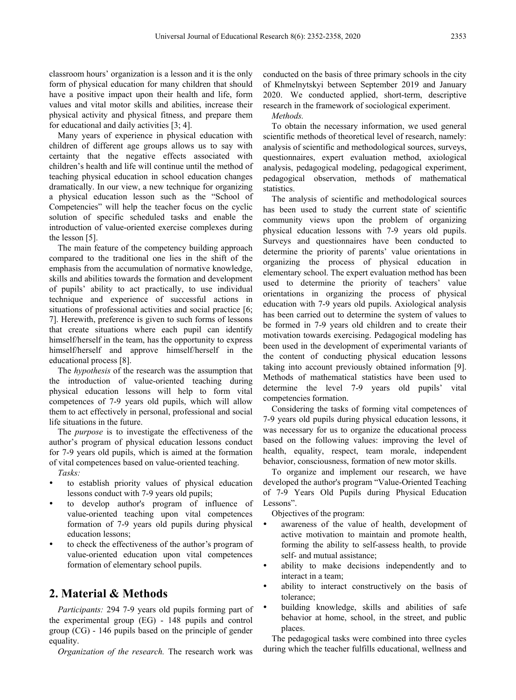classroom hours' organization is a lesson and it is the only form of physical education for many children that should have a positive impact upon their health and life, form values and vital motor skills and abilities, increase their physical activity and physical fitness, and prepare them for educational and daily activities [3; 4].

Many years of experience in physical education with children of different age groups allows us to say with certainty that the negative effects associated with children's health and life will continue until the method of teaching physical education in school education changes dramatically. In our view, a new technique for organizing a physical education lesson such as the "School of Competencies" will help the teacher focus on the cyclic solution of specific scheduled tasks and enable the introduction of value-oriented exercise complexes during the lesson [5].

The main feature of the competency building approach compared to the traditional one lies in the shift of the emphasis from the accumulation of normative knowledge, skills and abilities towards the formation and development of pupils' ability to act practically, to use individual technique and experience of successful actions in situations of professional activities and social practice [6; 7]. Herewith, preference is given to such forms of lessons that create situations where each pupil can identify himself/herself in the team, has the opportunity to express himself/herself and approve himself/herself in the educational process [8].

The *hypothesis* of the research was the assumption that the introduction of value-oriented teaching during physical education lessons will help to form vital competences of 7-9 years old pupils, which will allow them to act effectively in personal, professional and social life situations in the future.

The *purpose* is to investigate the effectiveness of the author's program of physical education lessons conduct for 7-9 years old pupils, which is aimed at the formation of vital competences based on value-oriented teaching.

*Tasks:* 

- to establish priority values of physical education lessons conduct with 7-9 years old pupils;
- to develop author's program of influence of value-oriented teaching upon vital competences formation of 7-9 years old pupils during physical education lessons;
- to check the effectiveness of the author's program of value-oriented education upon vital competences formation of elementary school pupils.

# **2. Material & Methods**

*Participants:* 294 7-9 years old pupils forming part of the experimental group (EG) - 148 pupils and control group (CG) - 146 pupils based on the principle of gender equality.

*Organization of the research.* The research work was

conducted on the basis of three primary schools in the city of Khmelnytskyi between September 2019 and January 2020. We conducted applied, short-term, descriptive research in the framework of sociological experiment.

*Methods.*

To obtain the necessary information, we used general scientific methods of theoretical level of research, namely: analysis of scientific and methodological sources, surveys, questionnaires, expert evaluation method, axiological analysis, pedagogical modeling, pedagogical experiment, pedagogical observation, methods of mathematical statistics.

The analysis of scientific and methodological sources has been used to study the current state of scientific community views upon the problem of organizing physical education lessons with 7-9 years old pupils. Surveys and questionnaires have been conducted to determine the priority of parents' value orientations in organizing the process of physical education in elementary school. The expert evaluation method has been used to determine the priority of teachers' value orientations in organizing the process of physical education with 7-9 years old pupils. Axiological analysis has been carried out to determine the system of values to be formed in 7-9 years old children and to create their motivation towards exercising. Pedagogical modeling has been used in the development of experimental variants of the content of conducting physical education lessons taking into account previously obtained information [9]. Methods of mathematical statistics have been used to determine the level 7-9 years old pupils' vital competencies formation.

Considering the tasks of forming vital competences of 7-9 years old pupils during physical education lessons, it was necessary for us to organize the educational process based on the following values: improving the level of health, equality, respect, team morale, independent behavior, consciousness, formation of new motor skills.

To organize and implement our research, we have developed the author's program "Value-Oriented Teaching of 7-9 Years Old Pupils during Physical Education Lessons".

Objectives of the program:

- awareness of the value of health, development of active motivation to maintain and promote health, forming the ability to self-assess health, to provide self- and mutual assistance;
- ability to make decisions independently and to interact in a team;
- ability to interact constructively on the basis of tolerance;
- building knowledge, skills and abilities of safe behavior at home, school, in the street, and public places.

The pedagogical tasks were combined into three cycles during which the teacher fulfills educational, wellness and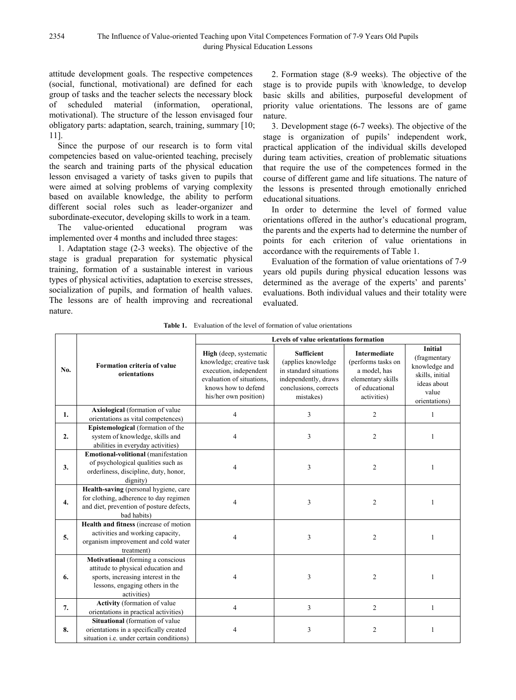attitude development goals. The respective competences (social, functional, motivational) are defined for each group of tasks and the teacher selects the necessary block of scheduled material (information, operational, motivational). The structure of the lesson envisaged four obligatory parts: adaptation, search, training, summary [10; 11].

Since the purpose of our research is to form vital competencies based on value-oriented teaching, precisely the search and training parts of the physical education lesson envisaged a variety of tasks given to pupils that were aimed at solving problems of varying complexity based on available knowledge, the ability to perform different social roles such as leader-organizer and subordinate-executor, developing skills to work in a team.

The value-oriented educational program was implemented over 4 months and included three stages:

1. Adaptation stage (2-3 weeks). The objective of the stage is gradual preparation for systematic physical training, formation of a sustainable interest in various types of physical activities, adaptation to exercise stresses, socialization of pupils, and formation of health values. The lessons are of health improving and recreational nature.

2. Formation stage (8-9 weeks). The objective of the stage is to provide pupils with \knowledge, to develop basic skills and abilities, purposeful development of priority value orientations. The lessons are of game nature.

3. Development stage (6-7 weeks). The objective of the stage is organization of pupils' independent work, practical application of the individual skills developed during team activities, creation of problematic situations that require the use of the competences formed in the course of different game and life situations. The nature of the lessons is presented through emotionally enriched educational situations.

In order to determine the level of formed value orientations offered in the author's educational program, the parents and the experts had to determine the number of points for each criterion of value orientations in accordance with the requirements of Table 1.

Evaluation of the formation of value orientations of 7-9 years old pupils during physical education lessons was determined as the average of the experts' and parents' evaluations. Both individual values and their totality were evaluated.

|  | <b>Table 1.</b> Evaluation of the level of formation of value orientations |  |
|--|----------------------------------------------------------------------------|--|
|--|----------------------------------------------------------------------------|--|

|     |                                                                                                                                                                 | Levels of value orientations formation                                                                                                                           |                                                                                                                                 |                                                                                                                 |                                                                                                             |  |  |
|-----|-----------------------------------------------------------------------------------------------------------------------------------------------------------------|------------------------------------------------------------------------------------------------------------------------------------------------------------------|---------------------------------------------------------------------------------------------------------------------------------|-----------------------------------------------------------------------------------------------------------------|-------------------------------------------------------------------------------------------------------------|--|--|
| No. | Formation criteria of value<br>orientations                                                                                                                     | <b>High</b> (deep, systematic<br>knowledge; creative task<br>execution, independent<br>evaluation of situations.<br>knows how to defend<br>his/her own position) | <b>Sufficient</b><br>(applies knowledge<br>in standard situations<br>independently, draws<br>conclusions, corrects<br>mistakes) | <b>Intermediate</b><br>(performs tasks on<br>a model, has<br>elementary skills<br>of educational<br>activities) | <b>Initial</b><br>(fragmentary<br>knowledge and<br>skills, initial<br>ideas about<br>value<br>orientations) |  |  |
| 1.  | Axiological (formation of value<br>orientations as vital competences)                                                                                           | 4                                                                                                                                                                | 3                                                                                                                               | $\overline{c}$                                                                                                  | 1                                                                                                           |  |  |
| 2.  | Epistemological (formation of the<br>system of knowledge, skills and<br>abilities in everyday activities)                                                       | 4                                                                                                                                                                | 3                                                                                                                               | $\overline{2}$                                                                                                  | $\mathbf{1}$                                                                                                |  |  |
| 3.  | <b>Emotional-volitional</b> (manifestation<br>of psychological qualities such as<br>orderliness, discipline, duty, honor,<br>dignity)                           | 4                                                                                                                                                                | 3                                                                                                                               | 2                                                                                                               | 1                                                                                                           |  |  |
| 4.  | Health-saving (personal hygiene, care<br>for clothing, adherence to day regimen<br>and diet, prevention of posture defects,<br>bad habits)                      | 4                                                                                                                                                                | 3                                                                                                                               | $\overline{2}$                                                                                                  | 1                                                                                                           |  |  |
| 5.  | Health and fitness (increase of motion<br>activities and working capacity,<br>organism improvement and cold water<br>treatment)                                 | 4                                                                                                                                                                | 3                                                                                                                               | $\overline{2}$                                                                                                  | 1                                                                                                           |  |  |
| 6.  | Motivational (forming a conscious<br>attitude to physical education and<br>sports, increasing interest in the<br>lessons, engaging others in the<br>activities) | 4                                                                                                                                                                | 3                                                                                                                               | $\overline{c}$                                                                                                  | 1                                                                                                           |  |  |
| 7.  | <b>Activity</b> (formation of value<br>orientations in practical activities)                                                                                    | $\overline{4}$                                                                                                                                                   | 3                                                                                                                               | $\overline{c}$                                                                                                  | 1                                                                                                           |  |  |
| 8.  | Situational (formation of value<br>orientations in a specifically created<br>situation i.e. under certain conditions)                                           | 4                                                                                                                                                                | 3                                                                                                                               | 2                                                                                                               | 1                                                                                                           |  |  |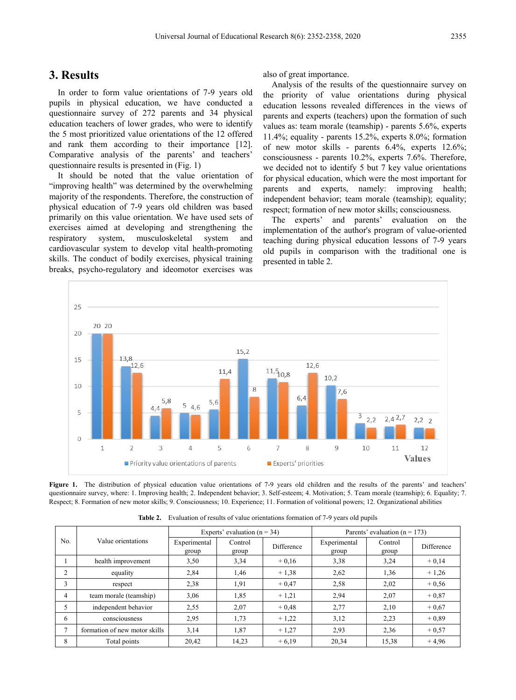### **3. Results**

In order to form value orientations of 7-9 years old pupils in physical education, we have conducted a questionnaire survey of 272 parents and 34 physical education teachers of lower grades, who were to identify the 5 most prioritized value orientations of the 12 offered and rank them according to their importance [12]. Comparative analysis of the parents' and teachers' questionnaire results is presented in (Fig. 1)

It should be noted that the value orientation of "improving health" was determined by the overwhelming majority of the respondents. Therefore, the construction of physical education of 7-9 years old children was based primarily on this value orientation. We have used sets of exercises aimed at developing and strengthening the respiratory system, musculoskeletal system and cardiovascular system to develop vital health-promoting skills. The conduct of bodily exercises, physical training breaks, psycho-regulatory and ideomotor exercises was also of great importance.

Analysis of the results of the questionnaire survey on the priority of value orientations during physical education lessons revealed differences in the views of parents and experts (teachers) upon the formation of such values as: team morale (teamship) - parents 5.6%, experts 11.4%; equality - parents 15.2%, experts 8.0%; formation of new motor skills - parents 6.4%, experts 12.6%; consciousness - parents 10.2%, experts 7.6%. Therefore, we decided not to identify 5 but 7 key value orientations for physical education, which were the most important for parents and experts, namely: improving health; independent behavior; team morale (teamship); equality; respect; formation of new motor skills; consciousness.

The experts' and parents' evaluation on the implementation of the author's program of value-oriented teaching during physical education lessons of 7-9 years old pupils in comparison with the traditional one is presented in table 2.



**Figure 1.** The distribution of physical education value orientations of 7-9 years old children and the results of the parents' and teachers' questionnaire survey, where: 1. Improving health; 2. Independent behavior; 3. Self-esteem; 4. Motivation; 5. Team morale (teamship); 6. Equality; 7. Respect; 8. Formation of new motor skills; 9. Consciousness; 10. Experience; 11. Formation of volitional powers; 12. Organizational abilities

|                |                               | Experts' evaluation ( $n = 34$ ) |                  |            | Parents' evaluation ( $n = 173$ ) |                  |            |
|----------------|-------------------------------|----------------------------------|------------------|------------|-----------------------------------|------------------|------------|
| No.            | Value orientations            | Experimental<br>group            | Control<br>group | Difference | Experimental<br>group             | Control<br>group | Difference |
|                | health improvement            | 3,50                             | 3,34             | $+0.16$    | 3,38                              | 3,24             | $+0,14$    |
| 2              | equality                      | 2,84                             | 1,46             | $+1,38$    | 2,62                              | 1,36             | $+1,26$    |
| 3              | respect                       | 2,38                             | 1,91             | $+0.47$    | 2,58                              | 2,02             | $+0.56$    |
| $\overline{4}$ | team morale (teamship)        | 3,06                             | 1,85             | $+1,21$    | 2,94                              | 2,07             | $+0,87$    |
| 5              | independent behavior          | 2,55                             | 2,07             | $+0.48$    | 2,77                              | 2,10             | $+0.67$    |
| 6              | consciousness                 | 2,95                             | 1,73             | $+1,22$    | 3,12                              | 2,23             | $+0.89$    |
| $\overline{7}$ | formation of new motor skills | 3,14                             | 1,87             | $+1,27$    | 2,93                              | 2,36             | $+0.57$    |
| 8              | Total points                  | 20,42                            | 14,23            | $+6.19$    | 20,34                             | 15,38            | $+4.96$    |

**Table 2.** Evaluation of results of value orientations formation of 7-9 years old pupils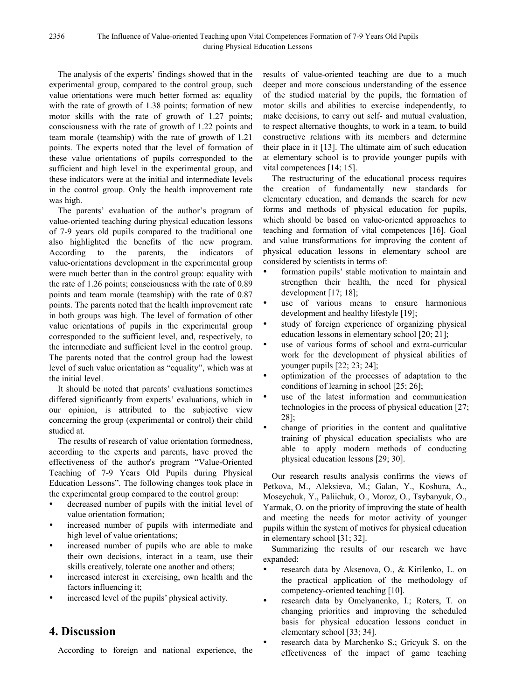The analysis of the experts' findings showed that in the experimental group, compared to the control group, such value orientations were much better formed as: equality with the rate of growth of 1.38 points; formation of new motor skills with the rate of growth of 1.27 points; consciousness with the rate of growth of 1.22 points and team morale (teamship) with the rate of growth of 1.21 points. The experts noted that the level of formation of these value orientations of pupils corresponded to the sufficient and high level in the experimental group, and these indicators were at the initial and intermediate levels in the control group. Only the health improvement rate was high.

The parents' evaluation of the author's program of value-oriented teaching during physical education lessons of 7-9 years old pupils compared to the traditional one also highlighted the benefits of the new program. According to the parents, the indicators of value-orientations development in the experimental group were much better than in the control group: equality with the rate of 1.26 points; consciousness with the rate of 0.89 points and team morale (teamship) with the rate of 0.87 points. The parents noted that the health improvement rate in both groups was high. The level of formation of other value orientations of pupils in the experimental group corresponded to the sufficient level, and, respectively, to the intermediate and sufficient level in the control group. The parents noted that the control group had the lowest level of such value orientation as "equality", which was at the initial level.

It should be noted that parents' evaluations sometimes differed significantly from experts' evaluations, which in our opinion, is attributed to the subjective view concerning the group (experimental or control) their child studied at.

The results of research of value orientation formedness, according to the experts and parents, have proved the effectiveness of the author's program "Value-Oriented Teaching of 7-9 Years Old Pupils during Physical Education Lessons". The following changes took place in the experimental group compared to the control group:

- decreased number of pupils with the initial level of value orientation formation;
- increased number of pupils with intermediate and high level of value orientations;
- increased number of pupils who are able to make their own decisions, interact in a team, use their skills creatively, tolerate one another and others;
- increased interest in exercising, own health and the factors influencing it;
- increased level of the pupils' physical activity.

# **4. Discussion**

According to foreign and national experience, the

results of value-oriented teaching are due to a much deeper and more conscious understanding of the essence of the studied material by the pupils, the formation of motor skills and abilities to exercise independently, to make decisions, to carry out self- and mutual evaluation, to respect alternative thoughts, to work in a team, to build constructive relations with its members and determine their place in it [13]. The ultimate aim of such education at elementary school is to provide younger pupils with vital competences [14; 15].

The restructuring of the educational process requires the creation of fundamentally new standards for elementary education, and demands the search for new forms and methods of physical education for pupils, which should be based on value-oriented approaches to teaching and formation of vital competences [16]. Goal and value transformations for improving the content of physical education lessons in elementary school are considered by scientists in terms of:

- formation pupils' stable motivation to maintain and strengthen their health, the need for physical development [17; 18];
- use of various means to ensure harmonious development and healthy lifestyle [19];
- study of foreign experience of organizing physical education lessons in elementary school [20; 21];
- use of various forms of school and extra-curricular work for the development of physical abilities of younger pupils [22; 23; 24];
- optimization of the processes of adaptation to the conditions of learning in school [25; 26];
- use of the latest information and communication technologies in the process of physical education [27; 28];
- change of priorities in the content and qualitative training of physical education specialists who are able to apply modern methods of conducting physical education lessons [29; 30].

Our research results analysis confirms the views of Petkova, M., Aleksieva, M.; Galan, Y., Koshura, A., Moseychuk, Y., Paliichuk, O., Moroz, O., Tsybanyuk, O., Yarmak, O. on the priority of improving the state of health and meeting the needs for motor activity of younger pupils within the system of motives for physical education in elementary school [31; 32].

Summarizing the results of our research we have expanded:

- research data by Aksenova, O., & Kirilenko, L. on the practical application of the methodology of competency-oriented teaching [10].
- research data by Omelyanenko, I.; Roters, T. on changing priorities and improving the scheduled basis for physical education lessons conduct in elementary school [33; 34].
- research data by Marchenko S.; Gricyuk S. on the effectiveness of the impact of game teaching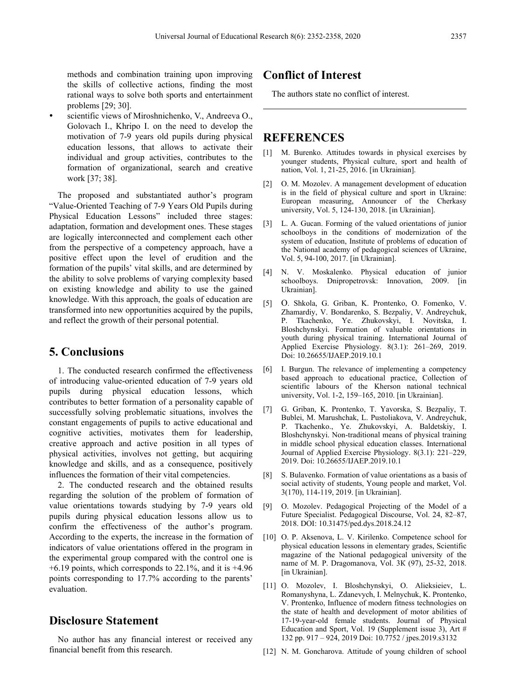methods and combination training upon improving the skills of collective actions, finding the most rational ways to solve both sports and entertainment problems [29; 30].

 scientific views of Miroshnichenko, V., Andreeva O., Golovach I., Khripo I. on the need to develop the motivation of 7-9 years old pupils during physical education lessons, that allows to activate their individual and group activities, contributes to the formation of organizational, search and creative work [37; 38].

The proposed and substantiated author's program "Value-Oriented Teaching of 7-9 Years Old Pupils during Physical Education Lessons" included three stages: adaptation, formation and development ones. These stages are logically interconnected and complement each other from the perspective of a competency approach, have a positive effect upon the level of erudition and the formation of the pupils' vital skills, and are determined by the ability to solve problems of varying complexity based on existing knowledge and ability to use the gained knowledge. With this approach, the goals of education are transformed into new opportunities acquired by the pupils, and reflect the growth of their personal potential.

### **5. Conclusions**

1. The conducted research confirmed the effectiveness of introducing value-oriented education of 7-9 years old pupils during physical education lessons, which contributes to better formation of a personality capable of successfully solving problematic situations, involves the constant engagements of pupils to active educational and cognitive activities, motivates them for leadership, creative approach and active position in all types of physical activities, involves not getting, but acquiring knowledge and skills, and as a consequence, positively influences the formation of their vital competencies.

2. The conducted research and the obtained results regarding the solution of the problem of formation of value orientations towards studying by 7-9 years old pupils during physical education lessons allow us to confirm the effectiveness of the author's program. According to the experts, the increase in the formation of indicators of value orientations offered in the program in the experimental group compared with the control one is  $+6.19$  points, which corresponds to 22.1%, and it is  $+4.96$ points corresponding to 17.7% according to the parents' evaluation.

# **Disclosure Statement**

No author has any financial interest or received any financial benefit from this research.

## **Conflict of Interest**

The authors state no conflict of interest.

## **REFERENCES**

- [1] M. Burenko. Attitudes towards in physical exercises by younger students, Physical culture, sport and health of nation, Vol. 1, 21-25, 2016. [in Ukrainian].
- [2] O. M. Mozolev. A management development of education is in the field of physical culture and sport in Ukraine: European measuring, Announcer of the Cherkasy university, Vol. 5, 124-130, 2018. [in Ukrainian].
- [3] L. A. Gucan. Forming of the valued orientations of junior schoolboys in the conditions of modernization of the system of education, Institute of problems of education of the National academy of pedagogical sciences of Ukraine, Vol. 5, 94-100, 2017. [in Ukrainian].
- [4] N. V. Moskalenko. Physical education of junior schoolboys. Dnipropetrovsk: Innovation, 2009. [in Ukrainian].
- [5] O. Shkola, G. Griban, K. Prontenko, O. Fomenko, V. Zhamardiy, V. Bondarenko, S. Bezpaliy, V. Andreychuk, P. Tkachenko, Ye. Zhukovskyi, I. Novitska, I. Bloshchynskyi. Formation of valuable orientations in youth during physical training. International Journal of Applied Exercise Physiology. 8(3.1): 261–269, 2019. Doi: 10.26655/IJAEP.2019.10.1
- [6] I. Burgun. The relevance of implementing a competency based approach to educational practice, Collection of scientific labours of the Kherson national technical university, Vol. 1-2, 159–165, 2010. [in Ukrainian].
- [7] G. Griban, K. Prontenko, T. Yavorska, S. Bezpaliy, T. Вublei, M. Marushchak, L. Pustoliakova, V. Andreychuk, P. Tkachenko., Ye. Zhukovskyi, A. Baldetskiy, I. Bloshchynskyi. Non-traditional means of physical training in middle school physical education classes. International Journal of Applied Exercise Physiology. 8(3.1): 221–229, 2019. Doi: 10.26655/IJAEP.2019.10.1
- [8] S. Bulavenko. Formation of value orientations as a basis of social activity of students, Young people and market, Vol. 3(170), 114-119, 2019. [in Ukrainian].
- [9] O. Mozolev. Pedagogical Projecting of the Model of a Future Specialist. Pedagogical Discourse, Vol. 24, 82–87, 2018. DOI: 10.31475/ped.dys.2018.24.12
- [10] O. P. Aksenova, L. V. Kirilenko. Competence school for physical education lessons in elementary grades, Scientific magazine of the National pedagogical university of the name of M. P. Dragomanova, Vol. 3К (97), 25-32, 2018. [in Ukrainian].
- [11] O. Mozolev, I. Bloshchynskyi, O. Alieksieiev, L. Romanyshyna, L. Zdanevych, I. Melnychuk, K. Prontenko, V. Prontenko, Influence of modern fitness technologies on the state of health and development of motor abilities of 17-19-year-old female students. Journal of Physical Education and Sport, Vol. 19 (Supplement issue 3), Art # 132 pp. 917 – 924, 2019 Doi: 10.7752 / jpes.2019.s3132
- [12] N. M. Goncharova. Attitude of young children of school